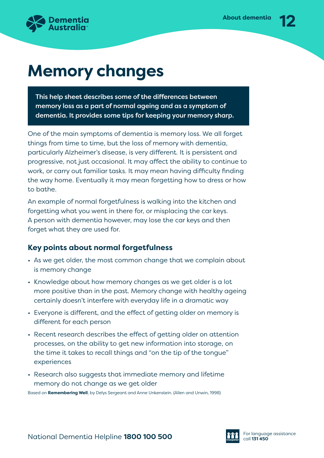

# **Memory changes**

This help sheet describes some of the differences between memory loss as a part of normal ageing and as a symptom of dementia. It provides some tips for keeping your memory sharp.

One of the main symptoms of dementia is memory loss. We all forget things from time to time, but the loss of memory with dementia, particularly Alzheimer's disease, is very different. It is persistent and progressive, not just occasional. It may affect the ability to continue to work, or carry out familiar tasks. It may mean having difficulty finding the way home. Eventually it may mean forgetting how to dress or how to bathe.

An example of normal forgetfulness is walking into the kitchen and forgetting what you went in there for, or misplacing the car keys. A person with dementia however, may lose the car keys and then forget what they are used for.

## **Key points about normal forgetfulness**

- As we get older, the most common change that we complain about is memory change
- Knowledge about how memory changes as we get older is a lot more positive than in the past. Memory change with healthy ageing certainly doesn't interfere with everyday life in a dramatic way
- Everyone is different, and the effect of getting older on memory is different for each person
- Recent research describes the effect of getting older on attention processes, on the ability to get new information into storage, on the time it takes to recall things and "on the tip of the tongue" experiences
- Research also suggests that immediate memory and lifetime memory do not change as we get older

Based on **Remembering Well**, by Delys Sergeant and Anne Unkenstein. (Allen and Unwin, 1998)

National Dementia Helpline **1800 100 500 Call 131 450** For language assistance

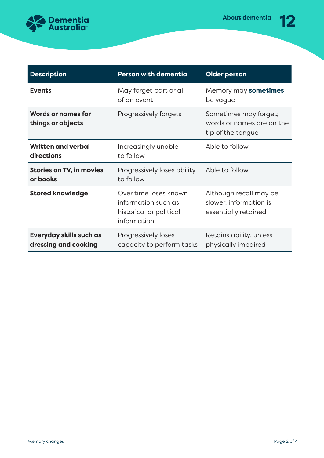

| <b>Description</b>                              | <b>Person with dementia</b>                                                            | <b>Older person</b>                                                      |
|-------------------------------------------------|----------------------------------------------------------------------------------------|--------------------------------------------------------------------------|
| <b>Events</b>                                   | May forget part or all<br>of an event                                                  | Memory may sometimes<br>be vague                                         |
| <b>Words or names for</b><br>things or objects  | Progressively forgets                                                                  | Sometimes may forget;<br>words or names are on the<br>tip of the tongue  |
| <b>Written and verbal</b><br>directions         | Increasingly unable<br>to follow                                                       | Able to follow                                                           |
| <b>Stories on TV, in movies</b><br>or books     | Progressively loses ability<br>to follow                                               | Able to follow                                                           |
| <b>Stored knowledge</b>                         | Over time loses known<br>information such as<br>historical or political<br>information | Although recall may be<br>slower, information is<br>essentially retained |
| Everyday skills such as<br>dressing and cooking | Progressively loses<br>capacity to perform tasks                                       | Retains ability, unless<br>physically impaired                           |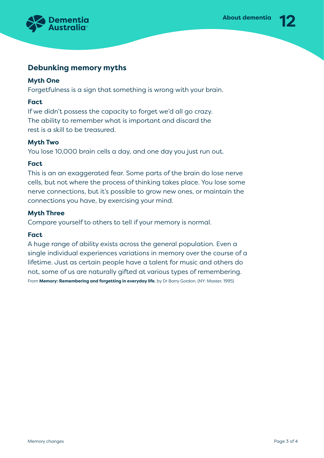

### **Debunking memory myths**

#### **Myth One**

Forgetfulness is a sign that something is wrong with your brain.

#### **Fact**

If we didn't possess the capacity to forget we'd all go crazy. The ability to remember what is important and discard the rest is a skill to be treasured.

#### **Myth Two**

You lose 10,000 brain cells a day, and one day you just run out.

#### **Fact**

This is an an exaggerated fear. Some parts of the brain do lose nerve cells, but not where the process of thinking takes place. You lose some nerve connections, but it's possible to grow new ones, or maintain the connections you have, by exercising your mind.

#### **Myth Three**

Compare yourself to others to tell if your memory is normal.

#### **Fact**

A huge range of ability exists across the general population. Even a single individual experiences variations in memory over the course of a lifetime. Just as certain people have a talent for music and others do not, some of us are naturally gifted at various types of remembering. From **Memory: Remembering and forgetting in everyday life**, by Dr Barry Gordon. (NY: Master, 1995)